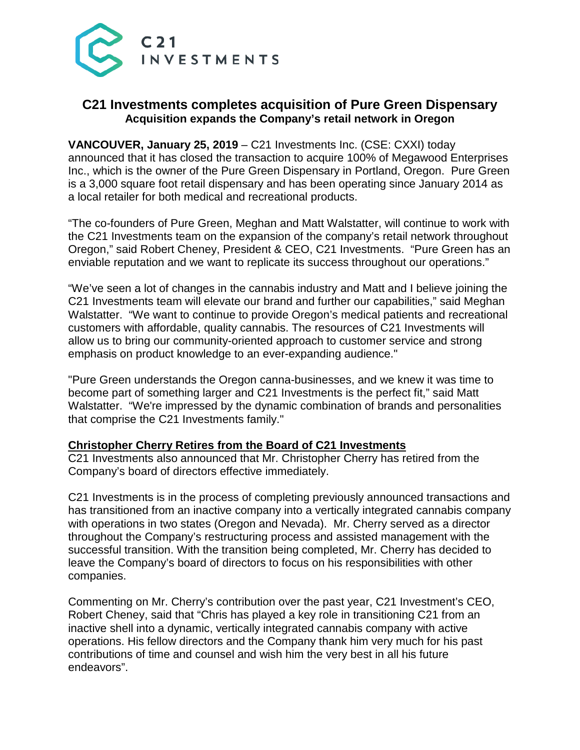

# **C21 Investments completes acquisition of Pure Green Dispensary Acquisition expands the Company's retail network in Oregon**

**VANCOUVER, January 25, 2019** – C21 Investments Inc. (CSE: CXXI) today announced that it has closed the transaction to acquire 100% of Megawood Enterprises Inc., which is the owner of the Pure Green Dispensary in Portland, Oregon. Pure Green is a 3,000 square foot retail dispensary and has been operating since January 2014 as a local retailer for both medical and recreational products.

"The co-founders of Pure Green, Meghan and Matt Walstatter, will continue to work with the C21 Investments team on the expansion of the company's retail network throughout Oregon," said Robert Cheney, President & CEO, C21 Investments. "Pure Green has an enviable reputation and we want to replicate its success throughout our operations."

"We've seen a lot of changes in the cannabis industry and Matt and I believe joining the C21 Investments team will elevate our brand and further our capabilities," said Meghan Walstatter. "We want to continue to provide Oregon's medical patients and recreational customers with affordable, quality cannabis. The resources of C21 Investments will allow us to bring our community-oriented approach to customer service and strong emphasis on product knowledge to an ever-expanding audience."

"Pure Green understands the Oregon canna-businesses, and we knew it was time to become part of something larger and C21 Investments is the perfect fit," said Matt Walstatter. "We're impressed by the dynamic combination of brands and personalities that comprise the C21 Investments family."

## **Christopher Cherry Retires from the Board of C21 Investments**

C21 Investments also announced that Mr. Christopher Cherry has retired from the Company's board of directors effective immediately.

C21 Investments is in the process of completing previously announced transactions and has transitioned from an inactive company into a vertically integrated cannabis company with operations in two states (Oregon and Nevada). Mr. Cherry served as a director throughout the Company's restructuring process and assisted management with the successful transition. With the transition being completed, Mr. Cherry has decided to leave the Company's board of directors to focus on his responsibilities with other companies.

Commenting on Mr. Cherry's contribution over the past year, C21 Investment's CEO, Robert Cheney, said that "Chris has played a key role in transitioning C21 from an inactive shell into a dynamic, vertically integrated cannabis company with active operations. His fellow directors and the Company thank him very much for his past contributions of time and counsel and wish him the very best in all his future endeavors".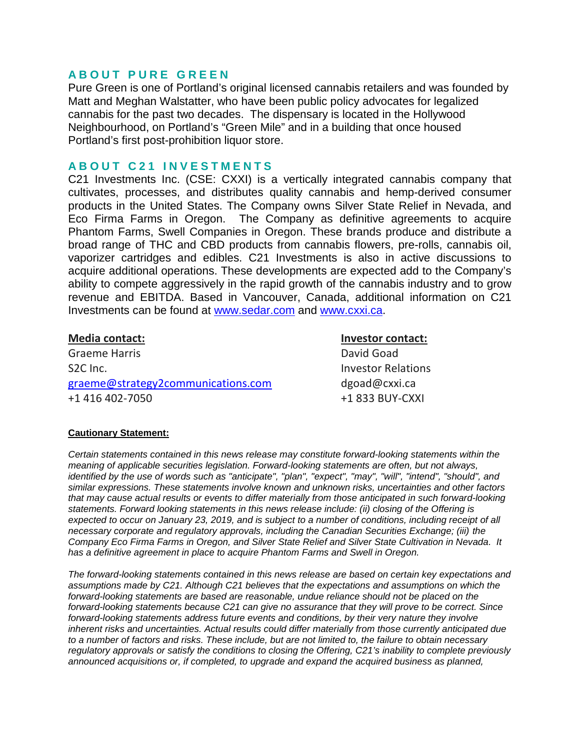## **ABOUT PURE GREEN**

Pure Green is one of Portland's original licensed cannabis retailers and was founded by Matt and Meghan Walstatter, who have been public policy advocates for legalized cannabis for the past two decades. The dispensary is located in the Hollywood Neighbourhood, on Portland's "Green Mile" and in a building that once housed Portland's first post-prohibition liquor store.

## **ABOUT C21 INVESTMENTS**

C21 Investments Inc. (CSE: CXXI) is a vertically integrated cannabis company that cultivates, processes, and distributes quality cannabis and hemp-derived consumer products in the United States. The Company owns Silver State Relief in Nevada, and Eco Firma Farms in Oregon. The Company as definitive agreements to acquire Phantom Farms, Swell Companies in Oregon. These brands produce and distribute a broad range of THC and CBD products from cannabis flowers, pre-rolls, cannabis oil, vaporizer cartridges and edibles. C21 Investments is also in active discussions to acquire additional operations. These developments are expected add to the Company's ability to compete aggressively in the rapid growth of the cannabis industry and to grow revenue and EBITDA. Based in Vancouver, Canada, additional information on C21 Investments can be found at [www.sedar.com](http://www.sedar.com/) and [www.cxxi.ca.](http://www.cxxi.ca/)

Graeme Harris **David Goad** S2C Inc. **Investor Relations** graeme@strategy2communications.com dgoad@cxxi.ca +1 416 402-7050 +1 833 BUY-CXXI

**Media contact: Investor contact:**

### **Cautionary Statement:**

*Certain statements contained in this news release may constitute forward-looking statements within the meaning of applicable securities legislation. Forward-looking statements are often, but not always, identified by the use of words such as "anticipate", "plan", "expect", "may", "will", "intend", "should", and similar expressions. These statements involve known and unknown risks, uncertainties and other factors that may cause actual results or events to differ materially from those anticipated in such forward-looking statements. Forward looking statements in this news release include: (ii) closing of the Offering is expected to occur on January 23, 2019, and is subject to a number of conditions, including receipt of all necessary corporate and regulatory approvals, including the Canadian Securities Exchange; (iii) the Company Eco Firma Farms in Oregon, and Silver State Relief and Silver State Cultivation in Nevada. It has a definitive agreement in place to acquire Phantom Farms and Swell in Oregon.* 

*The forward-looking statements contained in this news release are based on certain key expectations and assumptions made by C21. Although C21 believes that the expectations and assumptions on which the forward-looking statements are based are reasonable, undue reliance should not be placed on the forward-looking statements because C21 can give no assurance that they will prove to be correct. Since forward-looking statements address future events and conditions, by their very nature they involve inherent risks and uncertainties. Actual results could differ materially from those currently anticipated due to a number of factors and risks. These include, but are not limited to, the failure to obtain necessary regulatory approvals or satisfy the conditions to closing the Offering, C21's inability to complete previously announced acquisitions or, if completed, to upgrade and expand the acquired business as planned,*